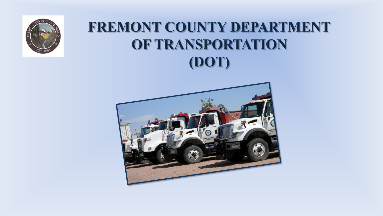

# FREMONT COUNTY DEPARTMENT OF TRANSPORTATION (DOT)

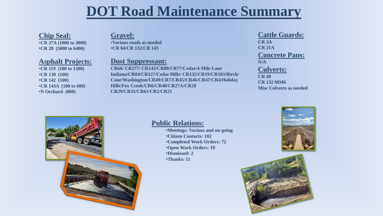# **DOT Road Maintenance Summary**

# **Chip Seal:**

•**CR 27A (1000 to 3000)** •**CR 28 (5800 to 6400)**

### **Asphalt Projects:**

•**CR 119 (100 to 1300)** •**CR 138 (100)** •**CR 142 (100)** •**CR 143A (100 to 600)** •**N Orchard (800)**

### **Gravel:**

•**Various roads as needed** •**CR 84/CR 132/CR 143**

# **Dust Suppressant:**

**CR66/ CR277/ CR143/CR80/CR77/Cedar/4-Mile Lane Indiana/CR84/CR127/Cedar Hills/ CR132/CR19/CR103/Birch/ Cone/Washington/CR49/CR7/CR45/CR46/CR47/CR4/Holiday Hills/Fox Creek/CR6/CR40/CR27A/CR28 CR29/CR31/CR61/CR2/CR21**

#### **Cattle Guards: CR 3A CR 21A Concrete Pans: N/A Culverts: CR 49 CR 132 MM6 Misc Culverts as needed**



### **Public Relations:**

- •**Meetings: Various and on-going**
- •**Citizen Contacts: 102**
- •**Completed Work Orders: 72**
- •**Open Work Orders: 19**
- •**Dismissed: 2**
- •**Thanks: 11**



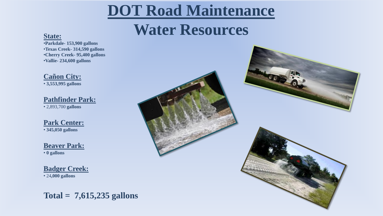# **DOT Road Maintenance**

# **Water Resources State:**

•**Parkdale- 153,900 gallons** •**Texas Creek- 314,590 gallons** •**Cherry Creek- 95,400 gallons** •**Vallie- 234,600 gallons**

**Cañon City:** • **3,553,995 gallons**

**Pathfinder Park:** • 2,893,700 **gallons**

**Park Center:** • **345,050 gallons**

**Beaver Park:** • **0 gallons**

**Badger Creek:** • 24**,000 gallons**

**Total = 7,615,235 gallons**

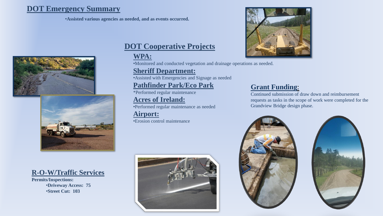# **DOT Emergency Summary**

•**Assisted various agencies as needed, and as events occurred.**





**R-O-W/Traffic Services**

**Permits/Inspections:** •**Driveway Access: 75** •**Street Cut: 103**

# **DOT Cooperative Projects**

# **WPA:**

•Monitored and conducted vegetation and drainage operations as needed.

### **Sheriff Department:**

•Assisted with Emergencies and Signage as needed

# **Pathfinder Park/Eco Park**

\*Performed regular maintenance

# **Acres of Ireland:**

•Performed regular maintenance as needed

**Airport:** •Erosion control maintenance





# **Grant Funding**:

Continued submission of draw down and reimbursement requests as tasks in the scope of work were completed for the Grandview Bridge design phase.



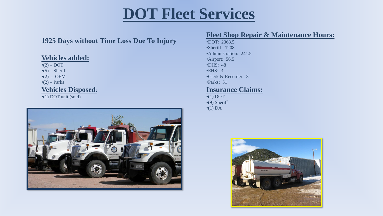# **DOT Fleet Services**

# **1925 Days without Time Loss Due To Injury**

# **Vehicles added:**

 $\bullet$ (2) – DOT  $\cdot$ (5) – Sheriff  $\cdot$ (2) - OEM  $\cdot$ (2) – Parks **Vehicles Disposed:**

•(1) DOT unit (sold)



### **Fleet Shop Repair & Maintenance Hours:**

•DOT: 2368.5 •Sheriff: 1208 •Administration: 241.5 •Airport: 56.5 •DHS: 48 •EHS: 3 •Clerk & Recorder: 3 •Parks: 51 **Insurance Claims:**

 $\cdot$ (1) DOT •(9) Sheriff  $\cdot$ (1) DA